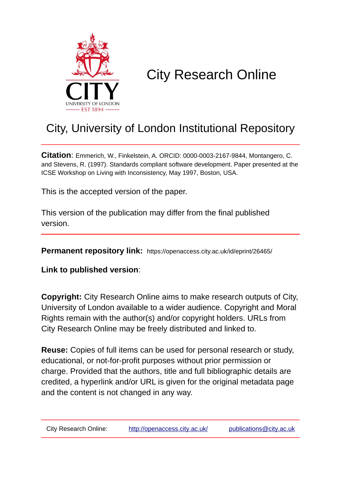

# City Research Online

## City, University of London Institutional Repository

**Citation**: Emmerich, W., Finkelstein, A. ORCID: 0000-0003-2167-9844, Montangero, C. and Stevens, R. (1997). Standards compliant software development. Paper presented at the ICSE Workshop on Living with Inconsistency, May 1997, Boston, USA.

This is the accepted version of the paper.

This version of the publication may differ from the final published version.

**Permanent repository link:** https://openaccess.city.ac.uk/id/eprint/26465/

**Link to published version**:

**Copyright:** City Research Online aims to make research outputs of City, University of London available to a wider audience. Copyright and Moral Rights remain with the author(s) and/or copyright holders. URLs from City Research Online may be freely distributed and linked to.

**Reuse:** Copies of full items can be used for personal research or study, educational, or not-for-profit purposes without prior permission or charge. Provided that the authors, title and full bibliographic details are credited, a hyperlink and/or URL is given for the original metadata page and the content is not changed in any way.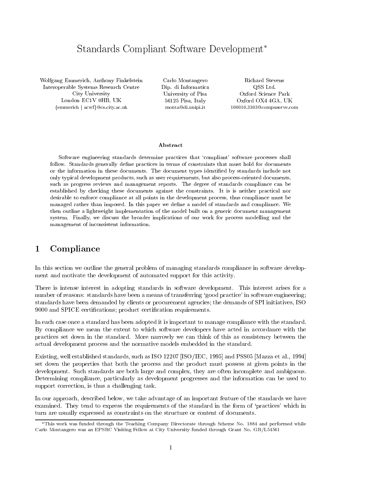## Standards Compliant Software Development

Wolfgang Emmerich, Anthony Finkelstein Interoperable Systems Research Centre City University London EC1V 0HB, UK femmerich j acwfg@cs.city.ac.uk

Carlo Montangero Dip. di Informatica University of Pisa 56125 Pisa, Italy monta@di.unipi.it

Richard Stevens QSS Ltd. Oxford Science Park Oxford OX4 4GA, UK 100010.3303@compuserve.com

#### Abstract

Software engineering standards determine practices that 'compliant' software processes shall follow. Standards generally define practices in terms of constraints that must hold for documents or the information in these documents. The document types identied by standards include not only typical development products, such as user requirements, but also process-oriented documents, such as progress reviews and management reports. The degree of standards compliance can be established by checking these documents against the constraints. It is is neither practical nor desirable to enforce compliance at all points in the development process, thus compliance must be managed rather than imposed. In this paper we define a model of standards and compliance. We then outline a lightweight implementation of the model built on a generic document management system. Finally, we discuss the broader implications of our work for process modelling and the management of inconsistent information.

#### 1 Compliance

In this section we outline the general problem of managing standards compliance in software development and motivate the development of automated support for this activity.

There is intense interest in adopting standards in software development. This interest arises for a number of reasons: standards have been a means of transferring `good practice' in software engineering; standards have been demanded by clients or procurement agencies; the demands of SPI initiatives, ISO 9000 and SPICE certications; product certication requirements.

In each case once a standard has been adopted it is important to manage compliance with the standard. By compliance we mean the extent to which software developers have acted in accordance with the practices set down in the standard. More narrowly we can think of this as consistency between the actual development process and the normative models embedded in the standard.

Existing, well established standards, such as ISO 12207 [ISO/IEC, 1995] and PSS05 [Mazza et al., 1994] set down the properties that both the process and the product must possess at given points in the development. Such standards are both large and complex, they are often incomplete and ambiguous. Determining compliance, particularly as development progresses and the information can be used to support correction, is thus a challenging task.

In our approach, described below, we take advantage of an important feature of the standards we have examined. They tend to express the requirements of the standard in the form of 'practices' which in turn are usually expressed as constraints on the structure or content of documents.

This work was funded through the Teaching Company Directorate through Scheme No. <sup>1884</sup> and performed while Carlo Montangero was an EPSRC Visiting Fellow at City University funded through Grant No. GR/L54561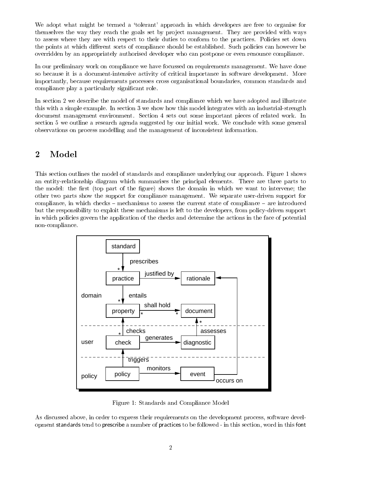We adopt what might be termed a 'tolerant' approach in which developers are free to organise for themselves the way they reach the goals set by project management. They are provided with ways to assess where they are with respect to their duties to conform to the practices. Policies set down the points at which different sorts of compliance should be established. Such policies can however be overridden by an appropriately authorised developer who can postpone or even renounce compliance.

In our preliminary work on compliance we have focussed on requirements management. We have done so because it is a document-intensive activity of critical importance in software development. More importantly, because requirements processes cross organisational boundaries, common standards and compliance play a particularly signicant role.

In section 2 we describe the model of standards and compliance which we have adopted and illustrate this with a simple example. In section 3 we show how this model integrates with an industrial-strength document management environment. Section 4 sets out some important pieces of related work. In section 5 we outline a research agenda suggested by our initial work. We conclude with some general observations on process modelling and the management of inconsistent information.

#### $\overline{2}$ **Model**

This section outlines the model of standards and compliance underlying our approach. Figure 1 shows an entity-relationship diagram which summarises the principal elements. There are three parts to the model: the first (top part of the figure) shows the domain in which we want to intervene; the other two parts show the support for compliance management. We separate user-driven support for compliance, in which checks  $-$  mechanisms to assess the current state of compliance  $-$  are introduced but the responsibility to exploit these mechanisms is left to the developers, from policy-driven support in which policies govern the application of the checks and determine the actions in the face of potential non-compliance.



Figure 1: Standards and Compliance Model

As discussed above, in order to express their requirements on the development process, software development standards tend to prescribe a number of practices to be followed - in this section, word in this font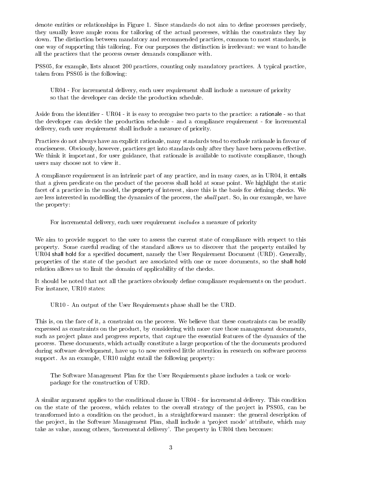denote entities or relationships in Figure 1. Since standards do not aim to define processes precisely, they usually leave ample room for tailoring of the actual processes, within the constraints they lay down. The distinction between mandatory and recommended practices, common to most standards, is one way of supporting this tailoring. For our purposes the distinction is irrelevant: we want to handle all the practices that the process owner demands compliance with.

PSS05, for example, lists almost 200 practices, counting only mandatory practices. A typical practice, taken from PSS05 is the following:

UR04 - For incremental delivery, each user requirement shall include a measure of priority so that the developer can decide the production schedule.

Aside from the identier - UR04 - it is easy to recognise two parts to the practice: a rationale - so that the developer can decide the production schedule - and a compliance requirement - for incremental delivery, each user requirement shall include a measure of priority.

Practices do not always have an explicit rationale, many standards tend to exclude rationale in favour of conciseness. Obviously, however, practices get into standards only after they have been proven effective. We think it important, for user guidance, that rationale is available to motivate compliance, though users may choose not to view it.

A compliance requirement is an intrinsic part of any practice, and in many cases, as in UR04, it entails that a given predicate on the product of the process shall hold at some point. We highlight the static facet of a practice in the model, the property of interest, since this is the basis for defining checks. We are less interested in modelling the dynamics of the process, the *shall* part. So, in our example, we have the property:

For incremental delivery, each user requirement includes a measure of priority

We aim to provide support to the user to assess the current state of compliance with respect to this property. Some careful reading of the standard allows us to discover that the property entailed by UR04 shall hold for a specied document, namely the User Requirement Document (URD). Generally, properties of the state of the product are associated with one or more documents, so the shall hold relation allows us to limit the domain of applicability of the checks.

It should be noted that not all the practices obviously define compliance requirements on the product. For instance, UR10 states:

UR10 - An output of the User Requirements phase shall be the URD.

This is, on the face of it, a constraint on the process. We believe that these constraints can be readily expressed as constraints on the product, by considering with more care those management documents, such as project plans and progress reports, that capture the essential features of the dynamics of the process. These documents, which actually constitute a large proportion of the the documents produced during software development, have up to now received little attention in research on software process support. As an example, UR10 might entail the following property:

The Software Management Plan for the User Requirements phase includes a task or workpackage for the construction of URD.

A similar argument applies to the conditional clause in UR04 - for incremental delivery. This condition on the state of the process, which relates to the overall strategy of the project in PSS05, can be transformed into a condition on the product, in a straightforward manner: the general description of the project, in the Software Management Plan, shall include a 'project mode' attribute, which may take as value, among others, 'incremental delivery'. The property in UR04 then becomes: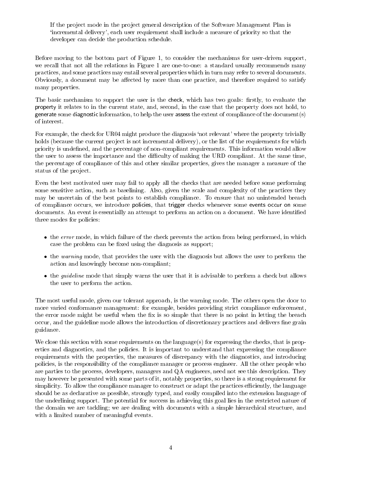If the project mode in the project general description of the Software Management Plan is `incremental delivery', each user requirement shall include a measure of priority so that the developer can decide the production schedule.

Before moving to the bottom part of Figure 1, to consider the mechanisms for user-driven support, we recall that not all the relations in Figure 1 are one-to-one: a standard usually recommends many practices, and some practices may entail several properties which in turn may refer to several documents. Obviously, a document may be affected by more than one practice, and therefore required to satisfy many properties.

The basic mechanism to support the user is the check, which has two goals: firstly, to evaluate the property it relates to in the current state, and, second, in the case that the property does not hold, to generate some diagnostic information, to help the user assess the extent of compliance of the document(s) of interest.

For example, the check for UR04 might produce the diagnosis 'not relevant' where the property trivially holds (because the current project is not incremental delivery), or the list of the requirements for which priority is undefined, and the percentage of non-compliant requirements. This information would allow the user to assess the importance and the difficulty of making the URD compliant. At the same time, the percentage of compliance of this and other similar properties, gives the manager a measure of the status of the project.

Even the best motivated user may fail to apply all the checks that are needed before some performing some sensitive action, such as baselining. Also, given the scale and complexity of the practices they may be uncertain of the best points to establish compliance. To ensure that no unintended breach of compliance occurs, we introduce policies, that trigger checks whenever some events occur on some documents. An event is essentially an attempt to perform an action on a document. We have identified three modes for policies:

- the error mode, in which failure of the check prevents the action from being performed, in which case the problem can be fixed using the diagnosis as support;
- the warning mode, that provides the user with the diagnosis but allows the user to perform the action and knowingly become non-compliant;
- the guideline mode that simply warns the user that it is advisable to perform a check but allows the user to perform the action.

The most useful mode, given our tolerant approach, is the warning mode. The others open the door to more varied conformance management: for example, besides providing strict compliance enforcement, the error mode might be useful when the fix is so simple that there is no point in letting the breach occur, and the guideline mode allows the introduction of discretionary practices and delivers fine grain guidance.

We close this section with some requirements on the language(s) for expressing the checks, that is properties and diagnostics, and the policies. It is important to understand that expressing the compliance requirements with the properties, the measures of discrepancy with the diagnostics, and introducing policies, is the responsibility of the compliance manager or process engineer. All the other people who are parties to the process, developers, managers and QA engineers, need not see this description. They may however be presented with some parts of it, notably properties, so there is a strong requirement for simplicity. To allow the compliance manager to construct or adapt the practices efficiently, the language should be as declarative as possible, strongly typed, and easily compiled into the extension language of the underlining support. The potential for success in achieving this goal lies in the restricted nature of the domain we are tackling; we are dealing with documents with a simple hierarchical structure, and with a limited number of meaningful events.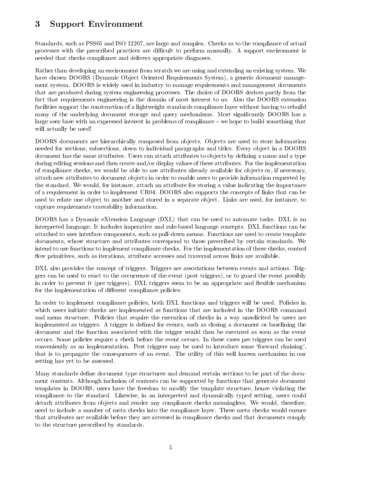### 3 Support Environment

Standards, such as PSS05 and ISO 12207, are large and complex. Checks as to the compliance of actual processes with the prescribed practices are difficult to perform manually. A support environment is needed that checks compliance and delivers appropriate diagnoses.

Rather than developing an environment from scratch we are using and extending an existing system. We have chosen DOORS (Dynamic Object Oriented Requirements System), a generic document management system. DOORS is widely used in industry to manage requirements and management documents that are produced during system engineering processes. The choice of DOORS derives partly from the fact that requirements engineering is the domain of most interest to us. Also the DOORS extension facilities support the construction of a lightweight standards compliance layer without having to rebuild many of the underlying document storage and query mechanisms. Most signicantly DOORS has a large user base with an expressed interest in problems of compliance – we hope to build something that will actually be used!

DOORS documents are hierarchically composed from ob jects. Ob jects are used to store information needed for sections, subsections, down to individual paragraphs and titles. Every object in a DOORS document has the same attributes. Users can attach attributes to objects by defining a name and a type during editing sessions and then create and/or display values of these attributes. For the implementation of compliance checks, we would be able to use attributes already available for ob jects or, if necessary, attach new attributes to document objects in order to enable users to provide information requested by the standard. We would, for instance, attach an attribute for storing a value indicating the importance of a requirement in order to implement UR04. DOORS also supports the concepts of links that can be used to relate one object to another and stored in a separate object. Links are used, for instance, to capture requirements traceability information.

DOORS has a Dynamic eXtension Language (DXL) that can be used to automate tasks. DXL is an interpreted language. It includes imperative and rule-based language concepts. DXL functions can be attached to user interface components, such as pull-down menus. Functions are used to create template documents, whose structure and attributes correspond to those prescribed by certain standards. We intend to use functions to implement compliance checks. For the implementation of these checks, control flow primitives, such as iterations, attribute accesses and traversal across links are available.

DXL also provides the concept of triggers. Triggers are associations between events and actions. Triggers can be used to react to the occurrence of the event (post triggers), or to guard the event possibly in order to prevent it (pre triggers). DXL triggers seem to be an appropriate and flexible mechanism for the implementation of different compliance policies.

In order to implement compliance policies, both DXL functions and triggers will be used. Policies in which users initiate checks are implemented as functions that are included in the DOORS command and menu structure. Policies that require the execution of checks in a way unsolicited by users are implemented as triggers. A trigger is defined for events, such as closing a document or baselining the document and the function associated with the trigger would then be executed as soon as the event occurs. Some policies require a check before the event occurs. In these cases pre triggers can be used conveniently as an implementation. Post triggers may be used to introduce some `forward chaining', that is to propagate the consequences of an event. The utility of this well known mechanism in our setting has yet to be assessed.

Many standards define document type structures and demand certain sections to be part of the document contents. Although inclusion of contents can be supported by functions that generate document templates in DOORS, users have the freedom to modify the template structure, hence violating the compliance to the standard. Likewise, in an interpreted and dynamically typed setting, users could detach attributes from objects and render any compliance checks meaningless. We would, therefore, need to include a number of meta checks into the compliance layer. These meta checks would ensure that attributes are available before they are accessed in compliance checks and that documents comply to the structure prescribed by standards.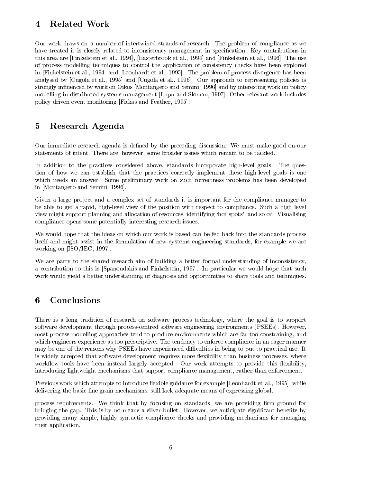#### 4 Related Work

Our work draws on a number of intertwined strands of research. The problem of compliance as we have treated it is closely related to inconsistency management in specification. Key contributions in this area are [Finkelstein et al., 1994], [Easterbrook et al., 1994] and [Finkelstein et al., 1996]. The use of process modelling techniques to control the application of consistency checks have been explored in [Finkelstein et al., 1994] and [Leonhardt et al., 1995]. The problem of process divergence has been analysed by [Cugola et al., 1995] and [Cugola et al., 1996]. Our approach to representing policies is strongly influenced by work on Oikos [Montangero and Semini, 1996] and by interesting work on policy modelling in distributed systems management [Lupu and Sloman, 1997]. Other relevant work includes policy driven event monitoring [Fickas and Feather, 1995].

#### 5 Research Agenda

Our immediate research agenda is defined by the preceding discussion. We must make good on our statements of intent. There are, however, some broader issues which remain to be tackled.

In addition to the practices considered above, standards incorporate high-level goals. The question of how we can establish that the practices correctly implement these high-level goals is one which needs an answer. Some preliminary work on such correctness problems has been developed in [Montangero and Semini, 1996].

Given a large project and a complex set of standards it is important for the compliance manager to be able to get a rapid, high-level view of the position with respect to compliance. Such a high level view might support planning and allocation of resources, identifying `hot spots', and so on. Visualising compliance opens some potentially interesting research issues.

We would hope that the ideas on which our work is based can be fed back into the standards process itself and might assist in the formulation of new systems engineering standards, for example we are working on [ISO/IEC, 1997].

We are party to the shared research aim of building a better formal understanding of inconsistency, a contribution to this is [Spanoudakis and Finkelstein, 1997]. In particular we would hope that such work would yield a better understanding of diagnosis and opportunities to share tools and techniques.

#### 6 Conclusions

There is a long tradition of research on software process technology, where the goal is to support software development through process-centred software engineering environments (PSEEs). However, most process modelling approaches tend to produce environments which are far too constraining, and which engineers experience as too prescriptive. The tendency to enforce compliance in an eager manner may be one of the reasons why PSEEs have experienced difficulties in being to put to practical use. It is widely accepted that software development requires more flexibility than business processes, where workflow tools have been instead largely accepted. Our work attempts to provide this flexibility, introducing lightweight mechanisms that support compliance management, rather than enforcement.

Previous work which attempts to introduce flexible guidance for example [Leonhardt et al., 1995], while delivering the basic fine-grain mechanisms, still lack adequate means of expressing global.

process requirements. We think that by focusing on standards, we are providing firm ground for bridging the gap. This is by no means a silver bullet. However, we anticipate significant benefits by providing many simple, highly syntactic compliance checks and providing mechanisms for managing their application.